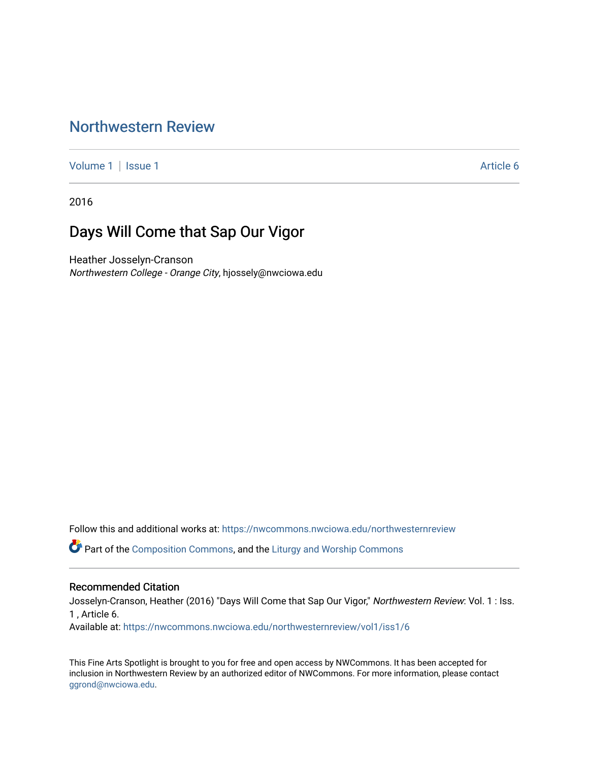## [Northwestern Review](https://nwcommons.nwciowa.edu/northwesternreview)

[Volume 1](https://nwcommons.nwciowa.edu/northwesternreview/vol1) | [Issue 1](https://nwcommons.nwciowa.edu/northwesternreview/vol1/iss1) Article 6

2016

## Days Will Come that Sap Our Vigor

Heather Josselyn-Cranson Northwestern College - Orange City, hjossely@nwciowa.edu

Follow this and additional works at: [https://nwcommons.nwciowa.edu/northwesternreview](https://nwcommons.nwciowa.edu/northwesternreview?utm_source=nwcommons.nwciowa.edu%2Fnorthwesternreview%2Fvol1%2Fiss1%2F6&utm_medium=PDF&utm_campaign=PDFCoverPages) 

Part of the [Composition Commons,](http://network.bepress.com/hgg/discipline/519?utm_source=nwcommons.nwciowa.edu%2Fnorthwesternreview%2Fvol1%2Fiss1%2F6&utm_medium=PDF&utm_campaign=PDFCoverPages) and the [Liturgy and Worship Commons](http://network.bepress.com/hgg/discipline/1188?utm_source=nwcommons.nwciowa.edu%2Fnorthwesternreview%2Fvol1%2Fiss1%2F6&utm_medium=PDF&utm_campaign=PDFCoverPages) 

#### Recommended Citation

Josselyn-Cranson, Heather (2016) "Days Will Come that Sap Our Vigor," Northwestern Review: Vol. 1 : Iss. 1 , Article 6.

Available at: [https://nwcommons.nwciowa.edu/northwesternreview/vol1/iss1/6](https://nwcommons.nwciowa.edu/northwesternreview/vol1/iss1/6?utm_source=nwcommons.nwciowa.edu%2Fnorthwesternreview%2Fvol1%2Fiss1%2F6&utm_medium=PDF&utm_campaign=PDFCoverPages)

This Fine Arts Spotlight is brought to you for free and open access by NWCommons. It has been accepted for inclusion in Northwestern Review by an authorized editor of NWCommons. For more information, please contact [ggrond@nwciowa.edu.](mailto:ggrond@nwciowa.edu)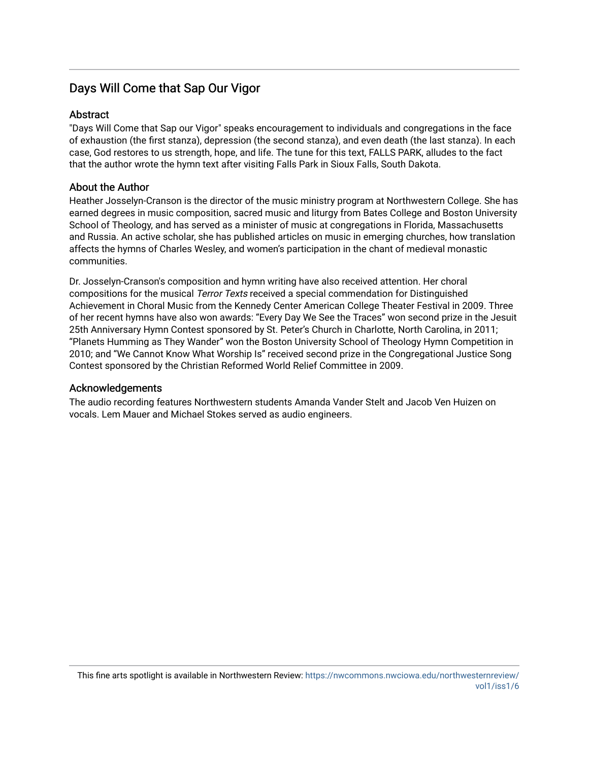### Days Will Come that Sap Our Vigor

#### Abstract

"Days Will Come that Sap our Vigor" speaks encouragement to individuals and congregations in the face of exhaustion (the first stanza), depression (the second stanza), and even death (the last stanza). In each case, God restores to us strength, hope, and life. The tune for this text, FALLS PARK, alludes to the fact that the author wrote the hymn text after visiting Falls Park in Sioux Falls, South Dakota.

#### About the Author

Heather Josselyn-Cranson is the director of the music ministry program at Northwestern College. She has earned degrees in music composition, sacred music and liturgy from Bates College and Boston University School of Theology, and has served as a minister of music at congregations in Florida, Massachusetts and Russia. An active scholar, she has published articles on music in emerging churches, how translation affects the hymns of Charles Wesley, and women's participation in the chant of medieval monastic communities.

Dr. Josselyn-Cranson's composition and hymn writing have also received attention. Her choral compositions for the musical Terror Texts received a special commendation for Distinguished Achievement in Choral Music from the Kennedy Center American College Theater Festival in 2009. Three of her recent hymns have also won awards: "Every Day We See the Traces" won second prize in the Jesuit 25th Anniversary Hymn Contest sponsored by St. Peter's Church in Charlotte, North Carolina, in 2011; "Planets Humming as They Wander" won the Boston University School of Theology Hymn Competition in 2010; and "We Cannot Know What Worship Is" received second prize in the Congregational Justice Song Contest sponsored by the Christian Reformed World Relief Committee in 2009.

#### Acknowledgements

The audio recording features Northwestern students Amanda Vander Stelt and Jacob Ven Huizen on vocals. Lem Mauer and Michael Stokes served as audio engineers.